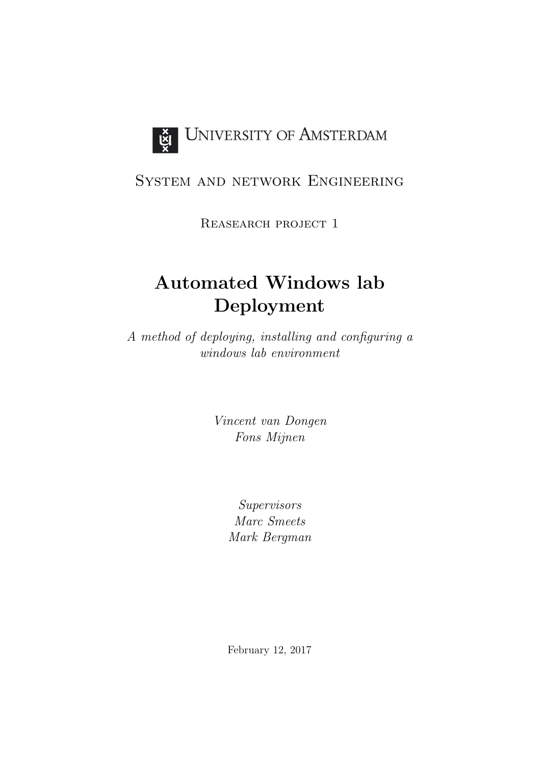

# System and network Engineering

Reasearch project 1

# Automated Windows lab Deployment

A method of deploying, installing and configuring a windows lab environment

> Vincent van Dongen Fons Mijnen

> > Supervisors Marc Smeets Mark Bergman

> > February 12, 2017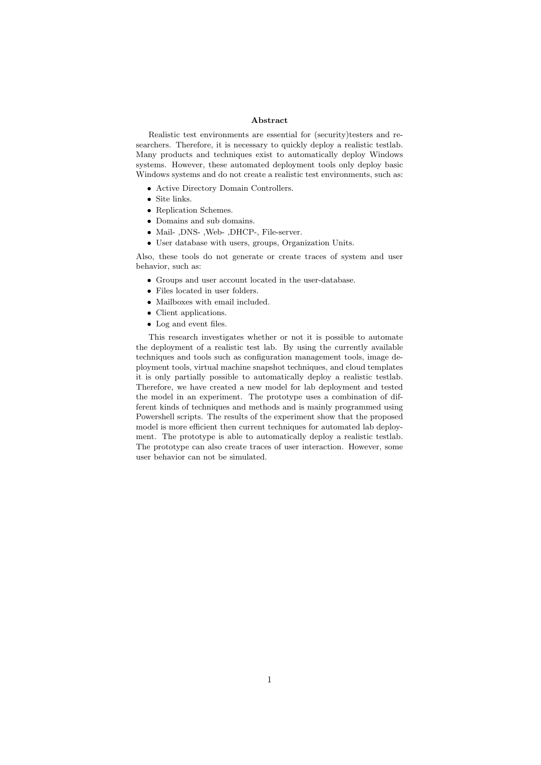#### Abstract

Realistic test environments are essential for (security)testers and researchers. Therefore, it is necessary to quickly deploy a realistic testlab. Many products and techniques exist to automatically deploy Windows systems. However, these automated deployment tools only deploy basic Windows systems and do not create a realistic test environments, such as:

- Active Directory Domain Controllers.
- Site links.
- Replication Schemes.
- Domains and sub domains.
- Mail- ,DNS- ,Web- ,DHCP-, File-server.
- User database with users, groups, Organization Units.

Also, these tools do not generate or create traces of system and user behavior, such as:

- Groups and user account located in the user-database.
- Files located in user folders.
- Mailboxes with email included.
- Client applications.
- Log and event files.

This research investigates whether or not it is possible to automate the deployment of a realistic test lab. By using the currently available techniques and tools such as configuration management tools, image deployment tools, virtual machine snapshot techniques, and cloud templates it is only partially possible to automatically deploy a realistic testlab. Therefore, we have created a new model for lab deployment and tested the model in an experiment. The prototype uses a combination of different kinds of techniques and methods and is mainly programmed using Powershell scripts. The results of the experiment show that the proposed model is more efficient then current techniques for automated lab deployment. The prototype is able to automatically deploy a realistic testlab. The prototype can also create traces of user interaction. However, some user behavior can not be simulated.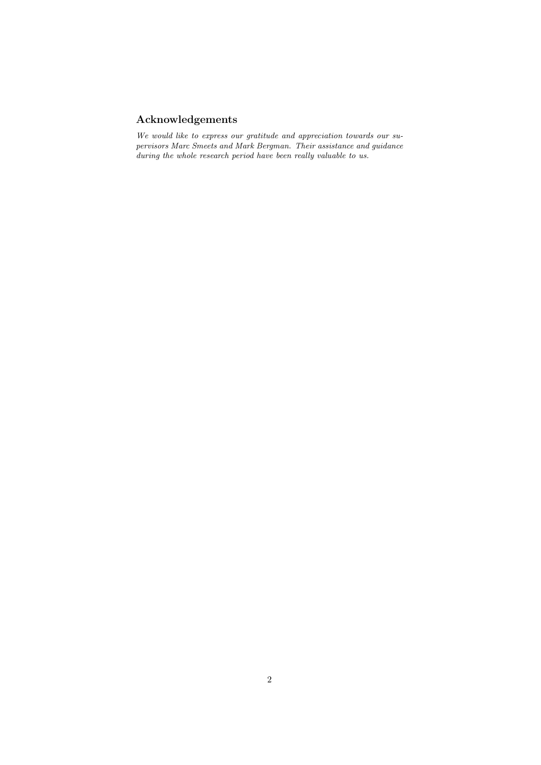# Acknowledgements

We would like to express our gratitude and appreciation towards our supervisors Marc Smeets and Mark Bergman. Their assistance and guidance during the whole research period have been really valuable to us.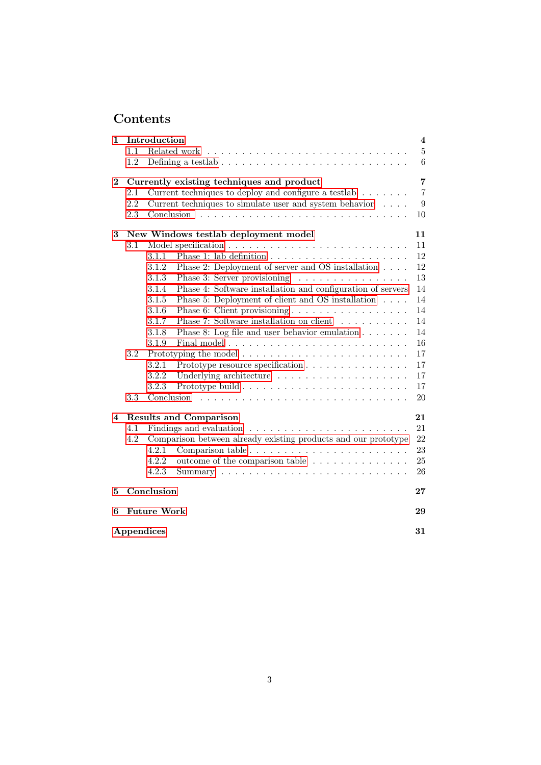# Contents

| 1              | Introduction                         |                                           |                                                                      |                |  |  |  |  |  |  |
|----------------|--------------------------------------|-------------------------------------------|----------------------------------------------------------------------|----------------|--|--|--|--|--|--|
|                | 1.1                                  |                                           |                                                                      | $\overline{5}$ |  |  |  |  |  |  |
|                | 1.2                                  |                                           |                                                                      | 6              |  |  |  |  |  |  |
| $\overline{2}$ |                                      | Currently existing techniques and product |                                                                      |                |  |  |  |  |  |  |
|                | 2.1                                  |                                           | Current techniques to deploy and configure a testlab $\ldots \ldots$ | $\overline{7}$ |  |  |  |  |  |  |
|                | 2.2                                  |                                           | Current techniques to simulate user and system behavior              | 9              |  |  |  |  |  |  |
|                | 2.3                                  | Conclusion                                |                                                                      | 10             |  |  |  |  |  |  |
| 3              | New Windows testlab deployment model |                                           |                                                                      |                |  |  |  |  |  |  |
|                | 3.1                                  |                                           |                                                                      | 11             |  |  |  |  |  |  |
|                |                                      | 3.1.1                                     |                                                                      | 12             |  |  |  |  |  |  |
|                |                                      | 3.1.2                                     | Phase 2: Deployment of server and OS installation                    | 12             |  |  |  |  |  |  |
|                |                                      | 3.1.3                                     | Phase 3: Server provisioning                                         | 13             |  |  |  |  |  |  |
|                |                                      | 3.1.4                                     | Phase 4: Software installation and configuration of servers          | 14             |  |  |  |  |  |  |
|                |                                      | 3.1.5                                     | Phase 5: Deployment of client and OS installation $\hfill\ldots$ .   | 14             |  |  |  |  |  |  |
|                |                                      | 3.1.6                                     | Phase 6: Client provisioning                                         | 14             |  |  |  |  |  |  |
|                |                                      | 3.1.7                                     | Phase 7: Software installation on client                             | 14             |  |  |  |  |  |  |
|                |                                      | 3.1.8                                     | Phase 8: Log file and user behavior emulation $\ldots \ldots$        | 14             |  |  |  |  |  |  |
|                |                                      | 3.1.9                                     |                                                                      | 16             |  |  |  |  |  |  |
|                | 3.2                                  |                                           |                                                                      |                |  |  |  |  |  |  |
|                |                                      | 3.2.1                                     | Prototype resource specification                                     | 17             |  |  |  |  |  |  |
|                |                                      | 3.2.2                                     |                                                                      | 17             |  |  |  |  |  |  |
|                |                                      | 3.2.3                                     |                                                                      | 17             |  |  |  |  |  |  |
|                | 3.3                                  | Conclusion                                |                                                                      | 20             |  |  |  |  |  |  |
| 4              | <b>Results and Comparison</b>        |                                           |                                                                      |                |  |  |  |  |  |  |
|                | 4.1                                  |                                           |                                                                      | 21             |  |  |  |  |  |  |
|                | 4.2                                  |                                           | Comparison between already existing products and our prototype       | 22             |  |  |  |  |  |  |
|                |                                      | 4.2.1                                     |                                                                      | 23             |  |  |  |  |  |  |
|                |                                      | 4.2.2                                     | outcome of the comparison table                                      | 25             |  |  |  |  |  |  |
|                |                                      | 4.2.3                                     |                                                                      | 26             |  |  |  |  |  |  |
| 5              | Conclusion                           |                                           |                                                                      |                |  |  |  |  |  |  |
| 6              | <b>Future Work</b><br>29             |                                           |                                                                      |                |  |  |  |  |  |  |
|                | Appendices<br>31                     |                                           |                                                                      |                |  |  |  |  |  |  |
|                |                                      |                                           |                                                                      |                |  |  |  |  |  |  |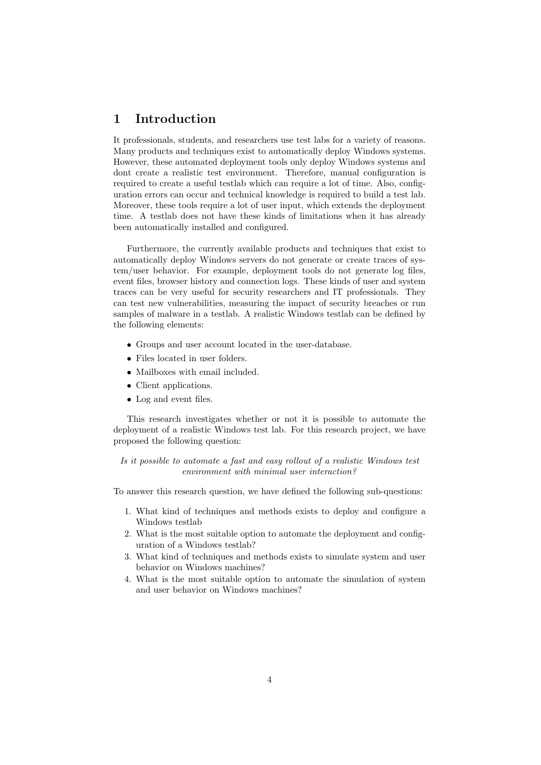# <span id="page-4-0"></span>1 Introduction

It professionals, students, and researchers use test labs for a variety of reasons. Many products and techniques exist to automatically deploy Windows systems. However, these automated deployment tools only deploy Windows systems and dont create a realistic test environment. Therefore, manual configuration is required to create a useful testlab which can require a lot of time. Also, configuration errors can occur and technical knowledge is required to build a test lab. Moreover, these tools require a lot of user input, which extends the deployment time. A testlab does not have these kinds of limitations when it has already been automatically installed and configured.

Furthermore, the currently available products and techniques that exist to automatically deploy Windows servers do not generate or create traces of system/user behavior. For example, deployment tools do not generate log files, event files, browser history and connection logs. These kinds of user and system traces can be very useful for security researchers and IT professionals. They can test new vulnerabilities, measuring the impact of security breaches or run samples of malware in a testlab. A realistic Windows testlab can be defined by the following elements:

- $\bullet\,$  Groups and user account located in the user-database.
- Files located in user folders.
- Mailboxes with email included.
- Client applications.
- Log and event files.

This research investigates whether or not it is possible to automate the deployment of a realistic Windows test lab. For this research project, we have proposed the following question:

Is it possible to automate a fast and easy rollout of a realistic Windows test environment with minimal user interaction?

To answer this research question, we have defined the following sub-questions:

- 1. What kind of techniques and methods exists to deploy and configure a Windows testlab
- 2. What is the most suitable option to automate the deployment and configuration of a Windows testlab?
- 3. What kind of techniques and methods exists to simulate system and user behavior on Windows machines?
- 4. What is the most suitable option to automate the simulation of system and user behavior on Windows machines?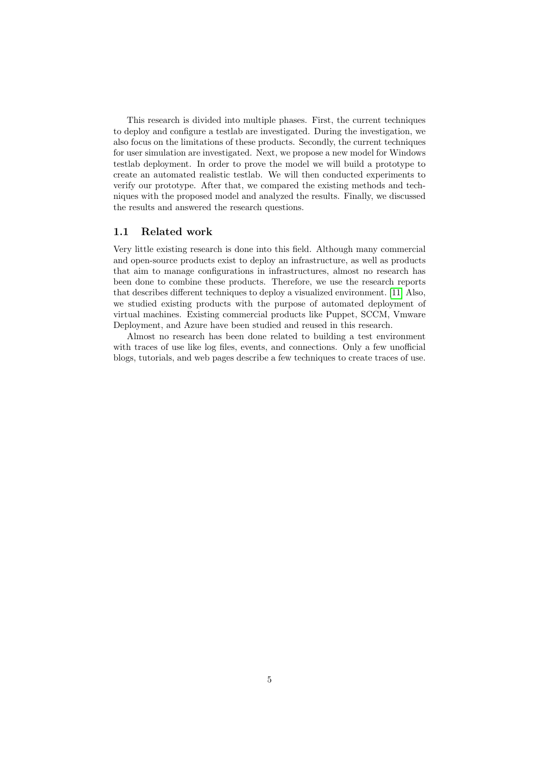This research is divided into multiple phases. First, the current techniques to deploy and configure a testlab are investigated. During the investigation, we also focus on the limitations of these products. Secondly, the current techniques for user simulation are investigated. Next, we propose a new model for Windows testlab deployment. In order to prove the model we will build a prototype to create an automated realistic testlab. We will then conducted experiments to verify our prototype. After that, we compared the existing methods and techniques with the proposed model and analyzed the results. Finally, we discussed the results and answered the research questions.

## <span id="page-5-0"></span>1.1 Related work

Very little existing research is done into this field. Although many commercial and open-source products exist to deploy an infrastructure, as well as products that aim to manage configurations in infrastructures, almost no research has been done to combine these products. Therefore, we use the research reports that describes different techniques to deploy a visualized environment. [\[11\]](#page-30-0) Also, we studied existing products with the purpose of automated deployment of virtual machines. Existing commercial products like Puppet, SCCM, Vmware Deployment, and Azure have been studied and reused in this research.

Almost no research has been done related to building a test environment with traces of use like log files, events, and connections. Only a few unofficial blogs, tutorials, and web pages describe a few techniques to create traces of use.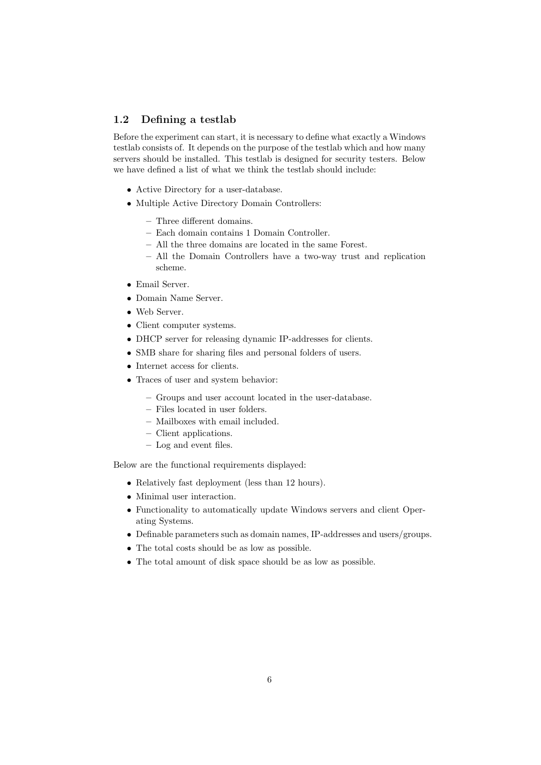## <span id="page-6-0"></span>1.2 Defining a testlab

Before the experiment can start, it is necessary to define what exactly a Windows testlab consists of. It depends on the purpose of the testlab which and how many servers should be installed. This testlab is designed for security testers. Below we have defined a list of what we think the testlab should include:

- Active Directory for a user-database.
- Multiple Active Directory Domain Controllers:
	- Three different domains.
	- Each domain contains 1 Domain Controller.
	- All the three domains are located in the same Forest.
	- All the Domain Controllers have a two-way trust and replication scheme.
- Email Server.
- Domain Name Server.
- Web Server.
- Client computer systems.
- DHCP server for releasing dynamic IP-addresses for clients.
- SMB share for sharing files and personal folders of users.
- Internet access for clients.
- Traces of user and system behavior:
	- Groups and user account located in the user-database.
	- Files located in user folders.
	- Mailboxes with email included.
	- Client applications.
	- Log and event files.

Below are the functional requirements displayed:

- Relatively fast deployment (less than 12 hours).
- Minimal user interaction.
- Functionality to automatically update Windows servers and client Operating Systems.
- Definable parameters such as domain names, IP-addresses and users/groups.
- The total costs should be as low as possible.
- The total amount of disk space should be as low as possible.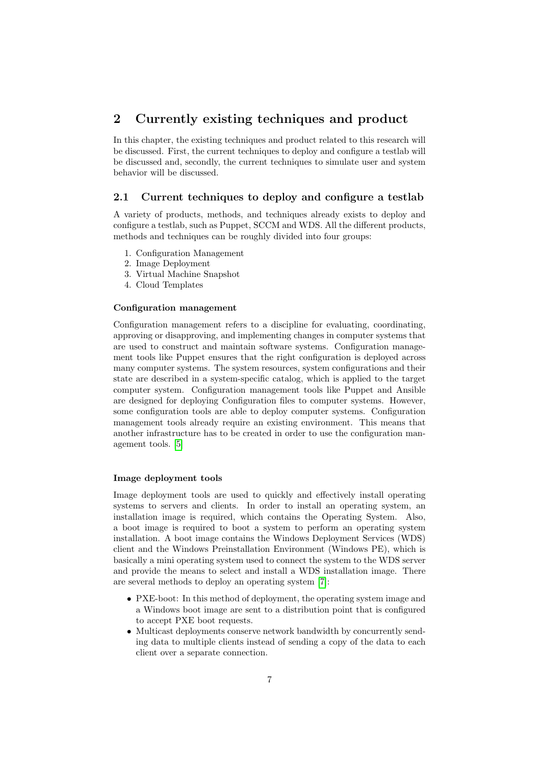# <span id="page-7-0"></span>2 Currently existing techniques and product

In this chapter, the existing techniques and product related to this research will be discussed. First, the current techniques to deploy and configure a testlab will be discussed and, secondly, the current techniques to simulate user and system behavior will be discussed.

## <span id="page-7-1"></span>2.1 Current techniques to deploy and configure a testlab

A variety of products, methods, and techniques already exists to deploy and configure a testlab, such as Puppet, SCCM and WDS. All the different products, methods and techniques can be roughly divided into four groups:

- 1. Configuration Management
- 2. Image Deployment
- 3. Virtual Machine Snapshot
- 4. Cloud Templates

#### Configuration management

Configuration management refers to a discipline for evaluating, coordinating, approving or disapproving, and implementing changes in computer systems that are used to construct and maintain software systems. Configuration management tools like Puppet ensures that the right configuration is deployed across many computer systems. The system resources, system configurations and their state are described in a system-specific catalog, which is applied to the target computer system. Configuration management tools like Puppet and Ansible are designed for deploying Configuration files to computer systems. However, some configuration tools are able to deploy computer systems. Configuration management tools already require an existing environment. This means that another infrastructure has to be created in order to use the configuration management tools. [\[5\]](#page-30-1)

#### Image deployment tools

Image deployment tools are used to quickly and effectively install operating systems to servers and clients. In order to install an operating system, an installation image is required, which contains the Operating System. Also, a boot image is required to boot a system to perform an operating system installation. A boot image contains the Windows Deployment Services (WDS) client and the Windows Preinstallation Environment (Windows PE), which is basically a mini operating system used to connect the system to the WDS server and provide the means to select and install a WDS installation image. There are several methods to deploy an operating system [\[7\]](#page-30-2):

- PXE-boot: In this method of deployment, the operating system image and a Windows boot image are sent to a distribution point that is configured to accept PXE boot requests.
- Multicast deployments conserve network bandwidth by concurrently sending data to multiple clients instead of sending a copy of the data to each client over a separate connection.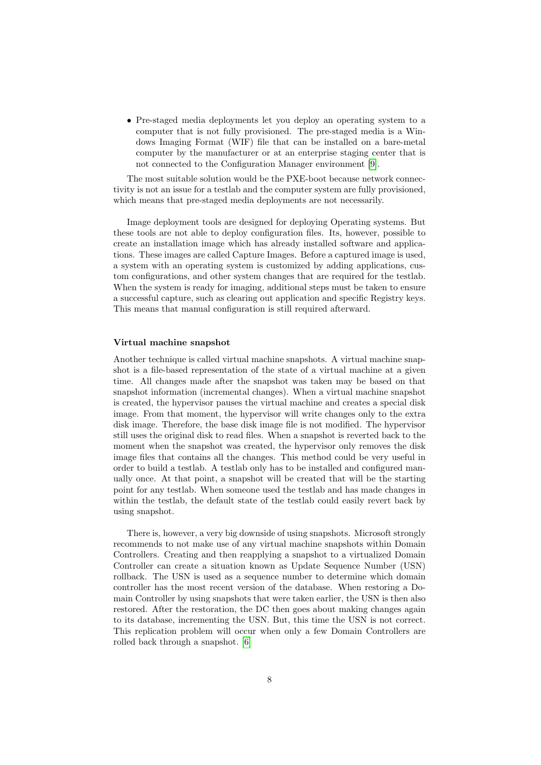• Pre-staged media deployments let you deploy an operating system to a computer that is not fully provisioned. The pre-staged media is a Windows Imaging Format (WIF) file that can be installed on a bare-metal computer by the manufacturer or at an enterprise staging center that is not connected to the Configuration Manager environment [\[9\]](#page-30-3).

The most suitable solution would be the PXE-boot because network connectivity is not an issue for a testlab and the computer system are fully provisioned, which means that pre-staged media deployments are not necessarily.

Image deployment tools are designed for deploying Operating systems. But these tools are not able to deploy configuration files. Its, however, possible to create an installation image which has already installed software and applications. These images are called Capture Images. Before a captured image is used, a system with an operating system is customized by adding applications, custom configurations, and other system changes that are required for the testlab. When the system is ready for imaging, additional steps must be taken to ensure a successful capture, such as clearing out application and specific Registry keys. This means that manual configuration is still required afterward.

#### Virtual machine snapshot

Another technique is called virtual machine snapshots. A virtual machine snapshot is a file-based representation of the state of a virtual machine at a given time. All changes made after the snapshot was taken may be based on that snapshot information (incremental changes). When a virtual machine snapshot is created, the hypervisor pauses the virtual machine and creates a special disk image. From that moment, the hypervisor will write changes only to the extra disk image. Therefore, the base disk image file is not modified. The hypervisor still uses the original disk to read files. When a snapshot is reverted back to the moment when the snapshot was created, the hypervisor only removes the disk image files that contains all the changes. This method could be very useful in order to build a testlab. A testlab only has to be installed and configured manually once. At that point, a snapshot will be created that will be the starting point for any testlab. When someone used the testlab and has made changes in within the testlab, the default state of the testlab could easily revert back by using snapshot.

There is, however, a very big downside of using snapshots. Microsoft strongly recommends to not make use of any virtual machine snapshots within Domain Controllers. Creating and then reapplying a snapshot to a virtualized Domain Controller can create a situation known as Update Sequence Number (USN) rollback. The USN is used as a sequence number to determine which domain controller has the most recent version of the database. When restoring a Domain Controller by using snapshots that were taken earlier, the USN is then also restored. After the restoration, the DC then goes about making changes again to its database, incrementing the USN. But, this time the USN is not correct. This replication problem will occur when only a few Domain Controllers are rolled back through a snapshot. [\[6\]](#page-30-4)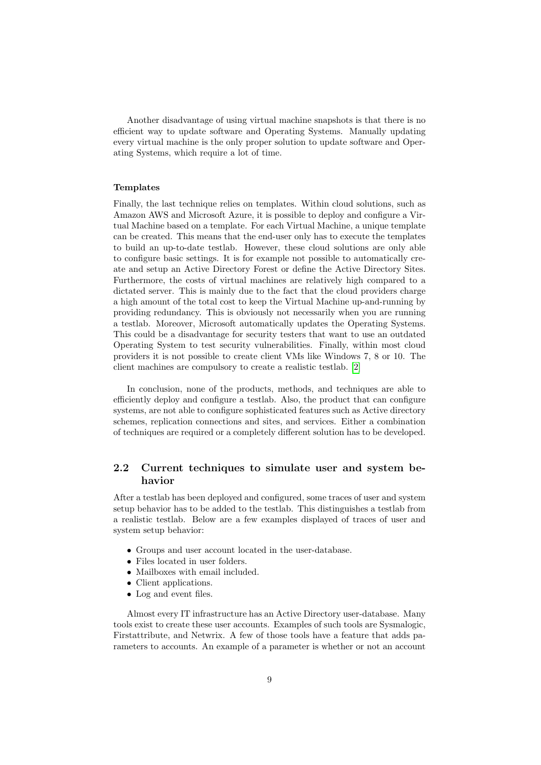Another disadvantage of using virtual machine snapshots is that there is no efficient way to update software and Operating Systems. Manually updating every virtual machine is the only proper solution to update software and Operating Systems, which require a lot of time.

## Templates

Finally, the last technique relies on templates. Within cloud solutions, such as Amazon AWS and Microsoft Azure, it is possible to deploy and configure a Virtual Machine based on a template. For each Virtual Machine, a unique template can be created. This means that the end-user only has to execute the templates to build an up-to-date testlab. However, these cloud solutions are only able to configure basic settings. It is for example not possible to automatically create and setup an Active Directory Forest or define the Active Directory Sites. Furthermore, the costs of virtual machines are relatively high compared to a dictated server. This is mainly due to the fact that the cloud providers charge a high amount of the total cost to keep the Virtual Machine up-and-running by providing redundancy. This is obviously not necessarily when you are running a testlab. Moreover, Microsoft automatically updates the Operating Systems. This could be a disadvantage for security testers that want to use an outdated Operating System to test security vulnerabilities. Finally, within most cloud providers it is not possible to create client VMs like Windows 7, 8 or 10. The client machines are compulsory to create a realistic testlab. [\[2\]](#page-30-5)

In conclusion, none of the products, methods, and techniques are able to efficiently deploy and configure a testlab. Also, the product that can configure systems, are not able to configure sophisticated features such as Active directory schemes, replication connections and sites, and services. Either a combination of techniques are required or a completely different solution has to be developed.

## <span id="page-9-0"></span>2.2 Current techniques to simulate user and system behavior

After a testlab has been deployed and configured, some traces of user and system setup behavior has to be added to the testlab. This distinguishes a testlab from a realistic testlab. Below are a few examples displayed of traces of user and system setup behavior:

- Groups and user account located in the user-database.
- Files located in user folders.
- Mailboxes with email included.
- Client applications.
- Log and event files.

Almost every IT infrastructure has an Active Directory user-database. Many tools exist to create these user accounts. Examples of such tools are Sysmalogic, Firstattribute, and Netwrix. A few of those tools have a feature that adds parameters to accounts. An example of a parameter is whether or not an account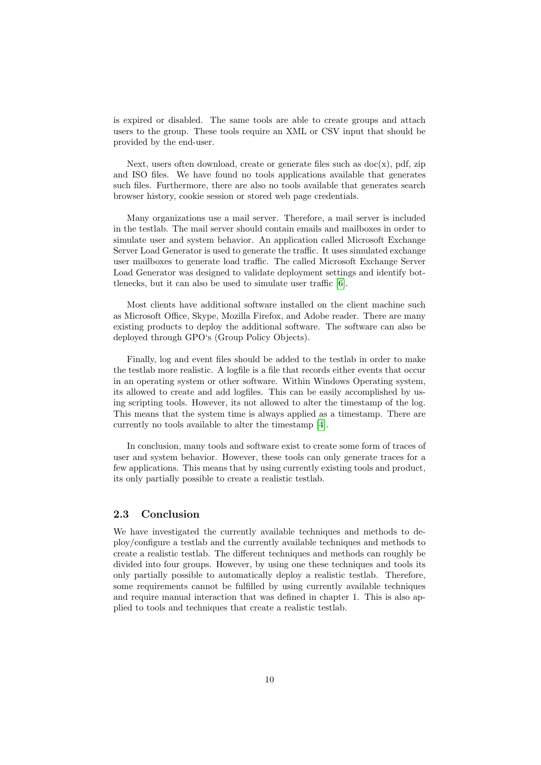is expired or disabled. The same tools are able to create groups and attach users to the group. These tools require an XML or CSV input that should be provided by the end-user.

Next, users often download, create or generate files such as  $doc(x)$ , pdf, zip and ISO files. We have found no tools applications available that generates such files. Furthermore, there are also no tools available that generates search browser history, cookie session or stored web page credentials.

Many organizations use a mail server. Therefore, a mail server is included in the testlab. The mail server should contain emails and mailboxes in order to simulate user and system behavior. An application called Microsoft Exchange Server Load Generator is used to generate the traffic. It uses simulated exchange user mailboxes to generate load traffic. The called Microsoft Exchange Server Load Generator was designed to validate deployment settings and identify bottlenecks, but it can also be used to simulate user traffic [\[6\]](#page-30-4).

Most clients have additional software installed on the client machine such as Microsoft Office, Skype, Mozilla Firefox, and Adobe reader. There are many existing products to deploy the additional software. The software can also be deployed through GPO's (Group Policy Objects).

Finally, log and event files should be added to the testlab in order to make the testlab more realistic. A logfile is a file that records either events that occur in an operating system or other software. Within Windows Operating system, its allowed to create and add logfiles. This can be easily accomplished by using scripting tools. However, its not allowed to alter the timestamp of the log. This means that the system time is always applied as a timestamp. There are currently no tools available to alter the timestamp [\[4\]](#page-30-6).

In conclusion, many tools and software exist to create some form of traces of user and system behavior. However, these tools can only generate traces for a few applications. This means that by using currently existing tools and product, its only partially possible to create a realistic testlab.

## <span id="page-10-0"></span>2.3 Conclusion

We have investigated the currently available techniques and methods to deploy/configure a testlab and the currently available techniques and methods to create a realistic testlab. The different techniques and methods can roughly be divided into four groups. However, by using one these techniques and tools its only partially possible to automatically deploy a realistic testlab. Therefore, some requirements cannot be fulfilled by using currently available techniques and require manual interaction that was defined in chapter 1. This is also applied to tools and techniques that create a realistic testlab.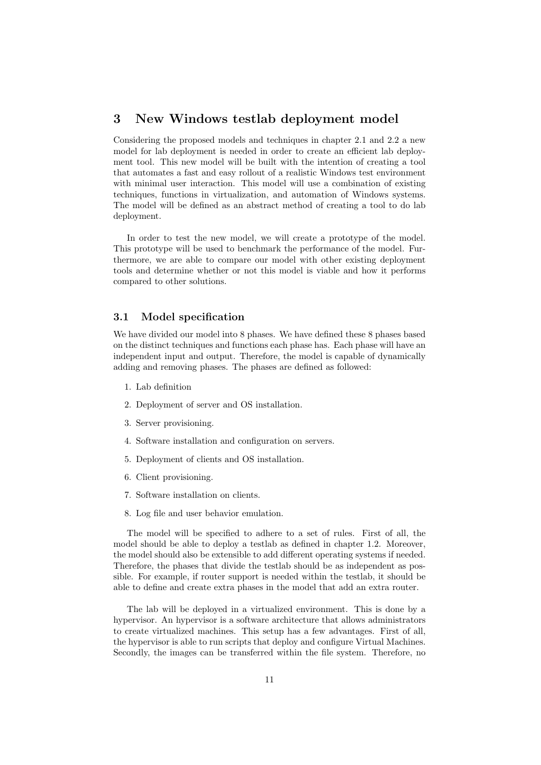# <span id="page-11-0"></span>3 New Windows testlab deployment model

Considering the proposed models and techniques in chapter 2.1 and 2.2 a new model for lab deployment is needed in order to create an efficient lab deployment tool. This new model will be built with the intention of creating a tool that automates a fast and easy rollout of a realistic Windows test environment with minimal user interaction. This model will use a combination of existing techniques, functions in virtualization, and automation of Windows systems. The model will be defined as an abstract method of creating a tool to do lab deployment.

In order to test the new model, we will create a prototype of the model. This prototype will be used to benchmark the performance of the model. Furthermore, we are able to compare our model with other existing deployment tools and determine whether or not this model is viable and how it performs compared to other solutions.

## <span id="page-11-1"></span>3.1 Model specification

We have divided our model into 8 phases. We have defined these 8 phases based on the distinct techniques and functions each phase has. Each phase will have an independent input and output. Therefore, the model is capable of dynamically adding and removing phases. The phases are defined as followed:

- 1. Lab definition
- 2. Deployment of server and OS installation.
- 3. Server provisioning.
- 4. Software installation and configuration on servers.
- 5. Deployment of clients and OS installation.
- 6. Client provisioning.
- 7. Software installation on clients.
- 8. Log file and user behavior emulation.

The model will be specified to adhere to a set of rules. First of all, the model should be able to deploy a testlab as defined in chapter 1.2. Moreover, the model should also be extensible to add different operating systems if needed. Therefore, the phases that divide the testlab should be as independent as possible. For example, if router support is needed within the testlab, it should be able to define and create extra phases in the model that add an extra router.

The lab will be deployed in a virtualized environment. This is done by a hypervisor. An hypervisor is a software architecture that allows administrators to create virtualized machines. This setup has a few advantages. First of all, the hypervisor is able to run scripts that deploy and configure Virtual Machines. Secondly, the images can be transferred within the file system. Therefore, no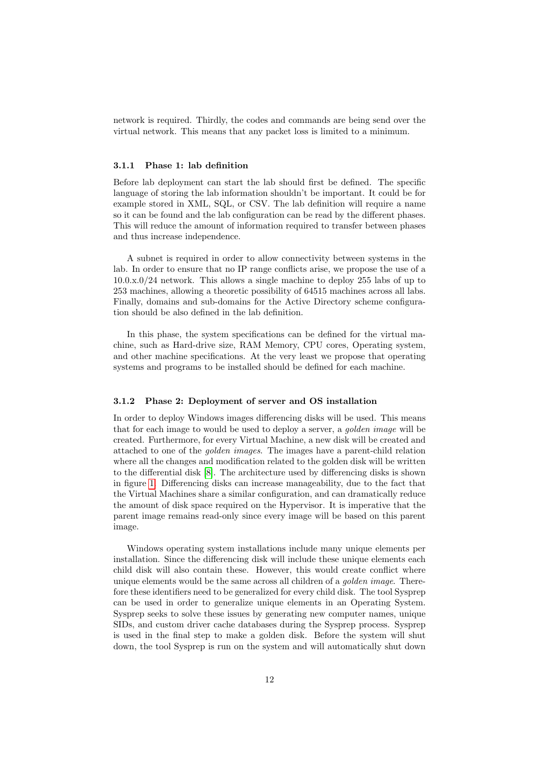network is required. Thirdly, the codes and commands are being send over the virtual network. This means that any packet loss is limited to a minimum.

#### <span id="page-12-0"></span>3.1.1 Phase 1: lab definition

Before lab deployment can start the lab should first be defined. The specific language of storing the lab information shouldn't be important. It could be for example stored in XML, SQL, or CSV. The lab definition will require a name so it can be found and the lab configuration can be read by the different phases. This will reduce the amount of information required to transfer between phases and thus increase independence.

A subnet is required in order to allow connectivity between systems in the lab. In order to ensure that no IP range conflicts arise, we propose the use of a 10.0.x.0/24 network. This allows a single machine to deploy 255 labs of up to 253 machines, allowing a theoretic possibility of 64515 machines across all labs. Finally, domains and sub-domains for the Active Directory scheme configuration should be also defined in the lab definition.

In this phase, the system specifications can be defined for the virtual machine, such as Hard-drive size, RAM Memory, CPU cores, Operating system, and other machine specifications. At the very least we propose that operating systems and programs to be installed should be defined for each machine.

#### <span id="page-12-1"></span>3.1.2 Phase 2: Deployment of server and OS installation

In order to deploy Windows images differencing disks will be used. This means that for each image to would be used to deploy a server, a *golden image* will be created. Furthermore, for every Virtual Machine, a new disk will be created and attached to one of the golden images. The images have a parent-child relation where all the changes and modification related to the golden disk will be written to the differential disk [\[8\]](#page-30-7). The architecture used by differencing disks is shown in figure [1.](#page-13-1) Differencing disks can increase manageability, due to the fact that the Virtual Machines share a similar configuration, and can dramatically reduce the amount of disk space required on the Hypervisor. It is imperative that the parent image remains read-only since every image will be based on this parent image.

Windows operating system installations include many unique elements per installation. Since the differencing disk will include these unique elements each child disk will also contain these. However, this would create conflict where unique elements would be the same across all children of a *golden image*. Therefore these identifiers need to be generalized for every child disk. The tool Sysprep can be used in order to generalize unique elements in an Operating System. Sysprep seeks to solve these issues by generating new computer names, unique SIDs, and custom driver cache databases during the Sysprep process. Sysprep is used in the final step to make a golden disk. Before the system will shut down, the tool Sysprep is run on the system and will automatically shut down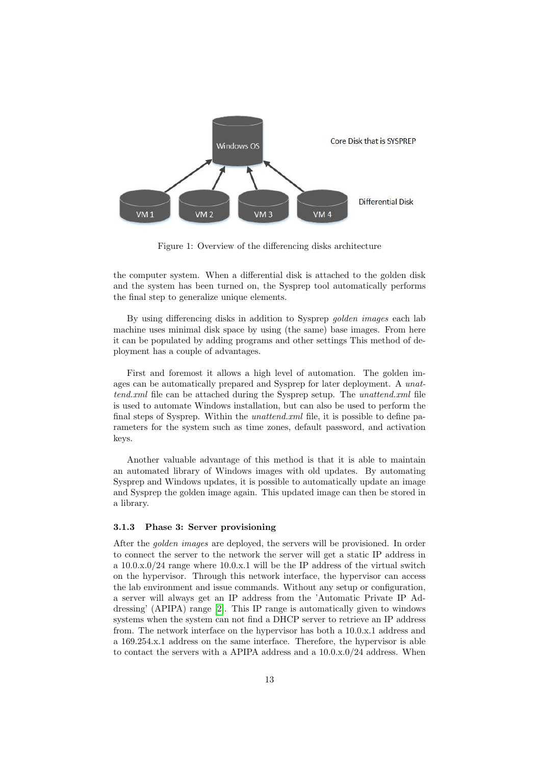

<span id="page-13-1"></span>Figure 1: Overview of the differencing disks architecture

the computer system. When a differential disk is attached to the golden disk and the system has been turned on, the Sysprep tool automatically performs the final step to generalize unique elements.

By using differencing disks in addition to Sysprep *golden images* each lab machine uses minimal disk space by using (the same) base images. From here it can be populated by adding programs and other settings This method of deployment has a couple of advantages.

First and foremost it allows a high level of automation. The golden images can be automatically prepared and Sysprep for later deployment. A unattend.xml file can be attached during the Sysprep setup. The *unattend.xml* file is used to automate Windows installation, but can also be used to perform the final steps of Sysprep. Within the *unattend.xml* file, it is possible to define parameters for the system such as time zones, default password, and activation keys.

Another valuable advantage of this method is that it is able to maintain an automated library of Windows images with old updates. By automating Sysprep and Windows updates, it is possible to automatically update an image and Sysprep the golden image again. This updated image can then be stored in a library.

#### <span id="page-13-0"></span>3.1.3 Phase 3: Server provisioning

After the *golden images* are deployed, the servers will be provisioned. In order to connect the server to the network the server will get a static IP address in a 10.0.x.0/24 range where 10.0.x.1 will be the IP address of the virtual switch on the hypervisor. Through this network interface, the hypervisor can access the lab environment and issue commands. Without any setup or configuration, a server will always get an IP address from the 'Automatic Private IP Addressing' (APIPA) range [\[2\]](#page-30-5). This IP range is automatically given to windows systems when the system can not find a DHCP server to retrieve an IP address from. The network interface on the hypervisor has both a 10.0.x.1 address and a 169.254.x.1 address on the same interface. Therefore, the hypervisor is able to contact the servers with a APIPA address and a  $10.0 \times 0/24$  address. When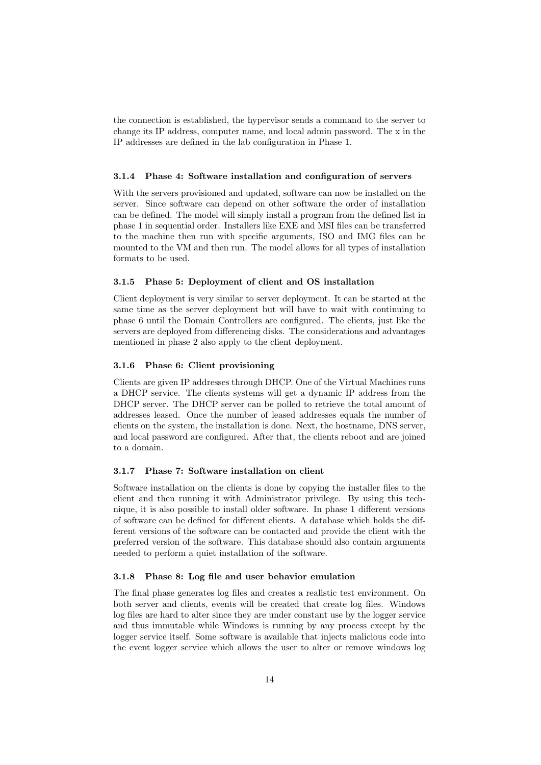the connection is established, the hypervisor sends a command to the server to change its IP address, computer name, and local admin password. The x in the IP addresses are defined in the lab configuration in Phase 1.

#### <span id="page-14-0"></span>3.1.4 Phase 4: Software installation and configuration of servers

With the servers provisioned and updated, software can now be installed on the server. Since software can depend on other software the order of installation can be defined. The model will simply install a program from the defined list in phase 1 in sequential order. Installers like EXE and MSI files can be transferred to the machine then run with specific arguments, ISO and IMG files can be mounted to the VM and then run. The model allows for all types of installation formats to be used.

#### <span id="page-14-1"></span>3.1.5 Phase 5: Deployment of client and OS installation

Client deployment is very similar to server deployment. It can be started at the same time as the server deployment but will have to wait with continuing to phase 6 until the Domain Controllers are configured. The clients, just like the servers are deployed from differencing disks. The considerations and advantages mentioned in phase 2 also apply to the client deployment.

#### <span id="page-14-2"></span>3.1.6 Phase 6: Client provisioning

Clients are given IP addresses through DHCP. One of the Virtual Machines runs a DHCP service. The clients systems will get a dynamic IP address from the DHCP server. The DHCP server can be polled to retrieve the total amount of addresses leased. Once the number of leased addresses equals the number of clients on the system, the installation is done. Next, the hostname, DNS server, and local password are configured. After that, the clients reboot and are joined to a domain.

#### <span id="page-14-3"></span>3.1.7 Phase 7: Software installation on client

Software installation on the clients is done by copying the installer files to the client and then running it with Administrator privilege. By using this technique, it is also possible to install older software. In phase 1 different versions of software can be defined for different clients. A database which holds the different versions of the software can be contacted and provide the client with the preferred version of the software. This database should also contain arguments needed to perform a quiet installation of the software.

#### <span id="page-14-4"></span>3.1.8 Phase 8: Log file and user behavior emulation

The final phase generates log files and creates a realistic test environment. On both server and clients, events will be created that create log files. Windows log files are hard to alter since they are under constant use by the logger service and thus immutable while Windows is running by any process except by the logger service itself. Some software is available that injects malicious code into the event logger service which allows the user to alter or remove windows log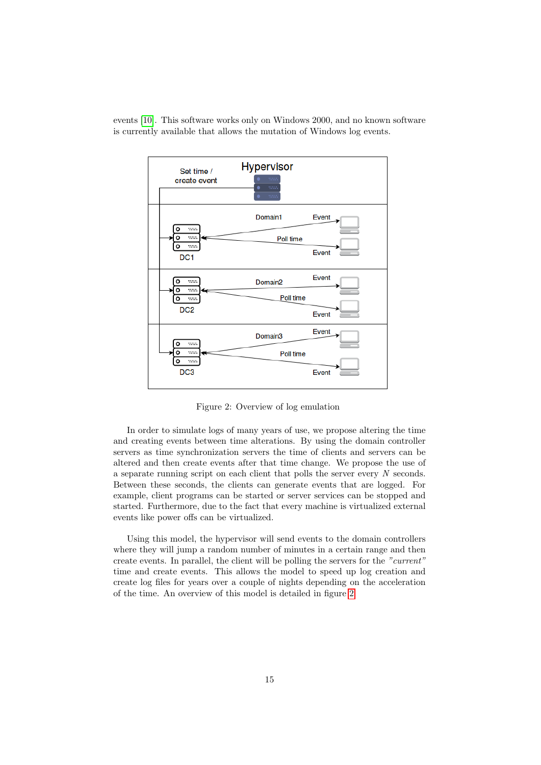events [\[10\]](#page-30-8). This software works only on Windows 2000, and no known software is currently available that allows the mutation of Windows log events.



<span id="page-15-0"></span>Figure 2: Overview of log emulation

In order to simulate logs of many years of use, we propose altering the time and creating events between time alterations. By using the domain controller servers as time synchronization servers the time of clients and servers can be altered and then create events after that time change. We propose the use of a separate running script on each client that polls the server every  $N$  seconds. Between these seconds, the clients can generate events that are logged. For example, client programs can be started or server services can be stopped and started. Furthermore, due to the fact that every machine is virtualized external events like power offs can be virtualized.

Using this model, the hypervisor will send events to the domain controllers where they will jump a random number of minutes in a certain range and then create events. In parallel, the client will be polling the servers for the "current" time and create events. This allows the model to speed up log creation and create log files for years over a couple of nights depending on the acceleration of the time. An overview of this model is detailed in figure [2](#page-15-0)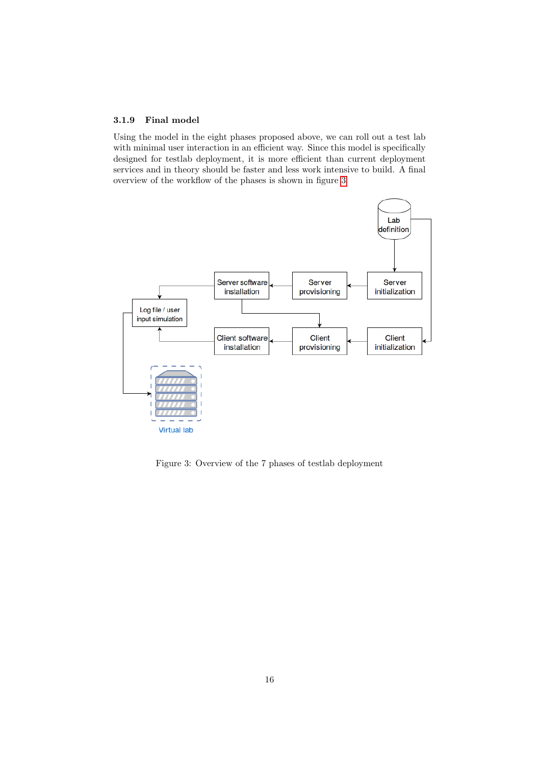#### <span id="page-16-0"></span>3.1.9 Final model

Using the model in the eight phases proposed above, we can roll out a test lab with minimal user interaction in an efficient way. Since this model is specifically designed for testlab deployment, it is more efficient than current deployment services and in theory should be faster and less work intensive to build. A final overview of the workflow of the phases is shown in figure [3](#page-16-1)



<span id="page-16-1"></span>Figure 3: Overview of the 7 phases of testlab deployment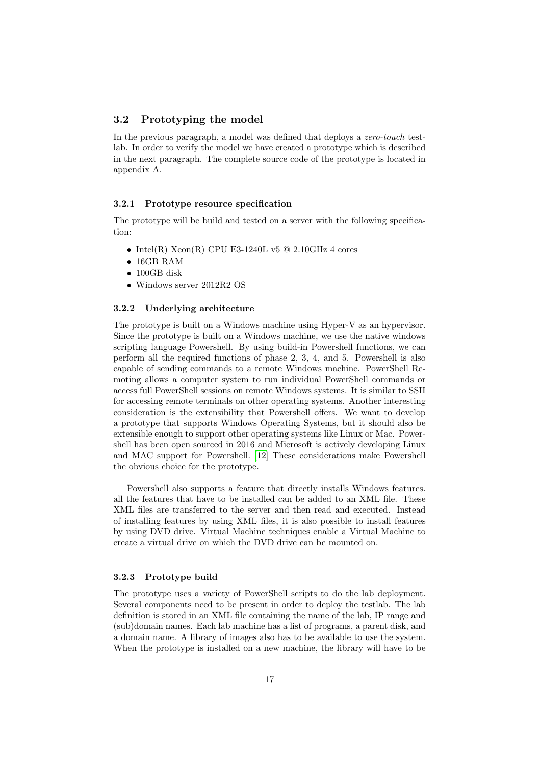## <span id="page-17-0"></span>3.2 Prototyping the model

In the previous paragraph, a model was defined that deploys a zero-touch testlab. In order to verify the model we have created a prototype which is described in the next paragraph. The complete source code of the prototype is located in appendix A.

#### <span id="page-17-1"></span>3.2.1 Prototype resource specification

The prototype will be build and tested on a server with the following specification:

- Intel(R)  $Xeon(R)$  CPU E3-1240L v5 @ 2.10GHz 4 cores
- 16GB RAM
- 100GB disk
- Windows server 2012R2 OS

#### <span id="page-17-2"></span>3.2.2 Underlying architecture

The prototype is built on a Windows machine using Hyper-V as an hypervisor. Since the prototype is built on a Windows machine, we use the native windows scripting language Powershell. By using build-in Powershell functions, we can perform all the required functions of phase 2, 3, 4, and 5. Powershell is also capable of sending commands to a remote Windows machine. PowerShell Remoting allows a computer system to run individual PowerShell commands or access full PowerShell sessions on remote Windows systems. It is similar to SSH for accessing remote terminals on other operating systems. Another interesting consideration is the extensibility that Powershell offers. We want to develop a prototype that supports Windows Operating Systems, but it should also be extensible enough to support other operating systems like Linux or Mac. Powershell has been open sourced in 2016 and Microsoft is actively developing Linux and MAC support for Powershell. [\[12\]](#page-30-9) These considerations make Powershell the obvious choice for the prototype.

Powershell also supports a feature that directly installs Windows features. all the features that have to be installed can be added to an XML file. These XML files are transferred to the server and then read and executed. Instead of installing features by using XML files, it is also possible to install features by using DVD drive. Virtual Machine techniques enable a Virtual Machine to create a virtual drive on which the DVD drive can be mounted on.

#### <span id="page-17-3"></span>3.2.3 Prototype build

The prototype uses a variety of PowerShell scripts to do the lab deployment. Several components need to be present in order to deploy the testlab. The lab definition is stored in an XML file containing the name of the lab, IP range and (sub)domain names. Each lab machine has a list of programs, a parent disk, and a domain name. A library of images also has to be available to use the system. When the prototype is installed on a new machine, the library will have to be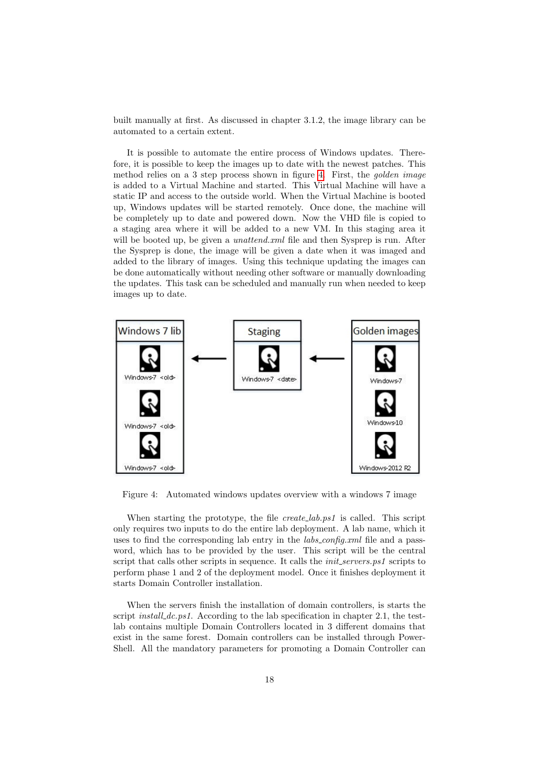built manually at first. As discussed in chapter 3.1.2, the image library can be automated to a certain extent.

It is possible to automate the entire process of Windows updates. Therefore, it is possible to keep the images up to date with the newest patches. This method relies on a 3 step process shown in figure [4.](#page-18-0) First, the golden image is added to a Virtual Machine and started. This Virtual Machine will have a static IP and access to the outside world. When the Virtual Machine is booted up, Windows updates will be started remotely. Once done, the machine will be completely up to date and powered down. Now the VHD file is copied to a staging area where it will be added to a new VM. In this staging area it will be booted up, be given a *unattend.xml* file and then Sysprep is run. After the Sysprep is done, the image will be given a date when it was imaged and added to the library of images. Using this technique updating the images can be done automatically without needing other software or manually downloading the updates. This task can be scheduled and manually run when needed to keep images up to date.



<span id="page-18-0"></span>Figure 4: Automated windows updates overview with a windows 7 image

When starting the prototype, the file *create\_lab.ps1* is called. This script only requires two inputs to do the entire lab deployment. A lab name, which it uses to find the corresponding lab entry in the *labs\_config.xml* file and a password, which has to be provided by the user. This script will be the central script that calls other scripts in sequence. It calls the *init\_servers.ps1* scripts to perform phase 1 and 2 of the deployment model. Once it finishes deployment it starts Domain Controller installation.

When the servers finish the installation of domain controllers, is starts the script *install\_dc.ps1*. According to the lab specification in chapter 2.1, the testlab contains multiple Domain Controllers located in 3 different domains that exist in the same forest. Domain controllers can be installed through Power-Shell. All the mandatory parameters for promoting a Domain Controller can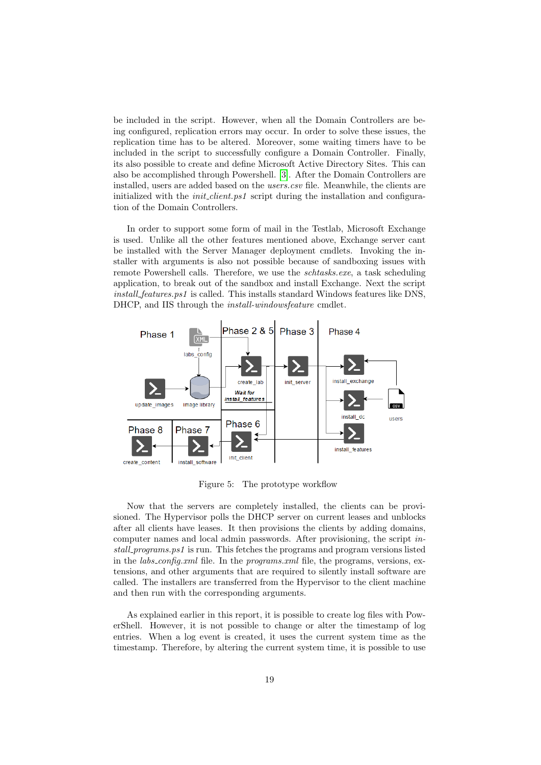be included in the script. However, when all the Domain Controllers are being configured, replication errors may occur. In order to solve these issues, the replication time has to be altered. Moreover, some waiting timers have to be included in the script to successfully configure a Domain Controller. Finally, its also possible to create and define Microsoft Active Directory Sites. This can also be accomplished through Powershell. [\[3\]](#page-30-10). After the Domain Controllers are installed, users are added based on the *users.csv* file. Meanwhile, the clients are initialized with the *init-client.ps1* script during the installation and configuration of the Domain Controllers.

In order to support some form of mail in the Testlab, Microsoft Exchange is used. Unlike all the other features mentioned above, Exchange server cant be installed with the Server Manager deployment cmdlets. Invoking the installer with arguments is also not possible because of sandboxing issues with remote Powershell calls. Therefore, we use the *schtasks.exe*, a task scheduling application, to break out of the sandbox and install Exchange. Next the script install features.ps1 is called. This installs standard Windows features like DNS, DHCP, and IIS through the install-windowsfeature cmdlet.



<span id="page-19-0"></span>Figure 5: The prototype workflow

Now that the servers are completely installed, the clients can be provisioned. The Hypervisor polls the DHCP server on current leases and unblocks after all clients have leases. It then provisions the clients by adding domains, computer names and local admin passwords. After provisioning, the script install programs.ps1 is run. This fetches the programs and program versions listed in the *labs\_config.xml* file. In the *programs.xml* file, the programs, versions, extensions, and other arguments that are required to silently install software are called. The installers are transferred from the Hypervisor to the client machine and then run with the corresponding arguments.

As explained earlier in this report, it is possible to create log files with PowerShell. However, it is not possible to change or alter the timestamp of log entries. When a log event is created, it uses the current system time as the timestamp. Therefore, by altering the current system time, it is possible to use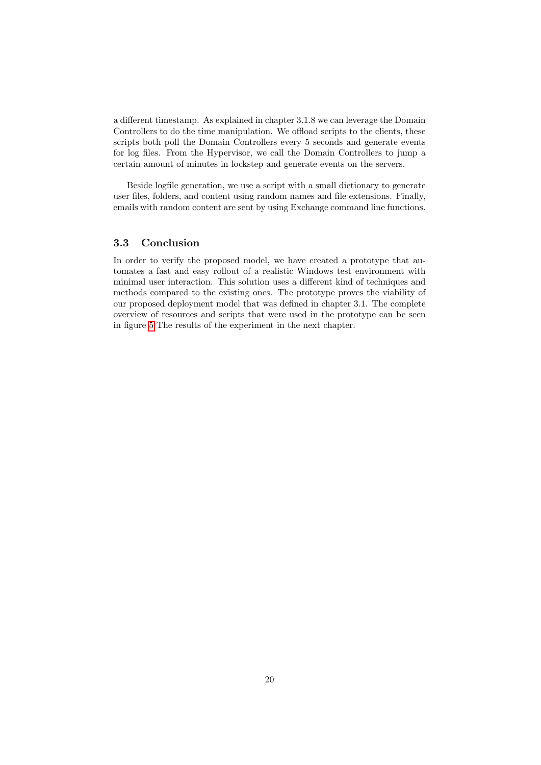a different timestamp. As explained in chapter 3.1.8 we can leverage the Domain Controllers to do the time manipulation. We offload scripts to the clients, these scripts both poll the Domain Controllers every 5 seconds and generate events for log files. From the Hypervisor, we call the Domain Controllers to jump a certain amount of minutes in lockstep and generate events on the servers.

Beside logfile generation, we use a script with a small dictionary to generate user files, folders, and content using random names and file extensions. Finally, emails with random content are sent by using Exchange command line functions.

## <span id="page-20-0"></span>3.3 Conclusion

In order to verify the proposed model, we have created a prototype that automates a fast and easy rollout of a realistic Windows test environment with minimal user interaction. This solution uses a different kind of techniques and methods compared to the existing ones. The prototype proves the viability of our proposed deployment model that was defined in chapter 3.1. The complete overview of resources and scripts that were used in the prototype can be seen in figure [5](#page-19-0) The results of the experiment in the next chapter.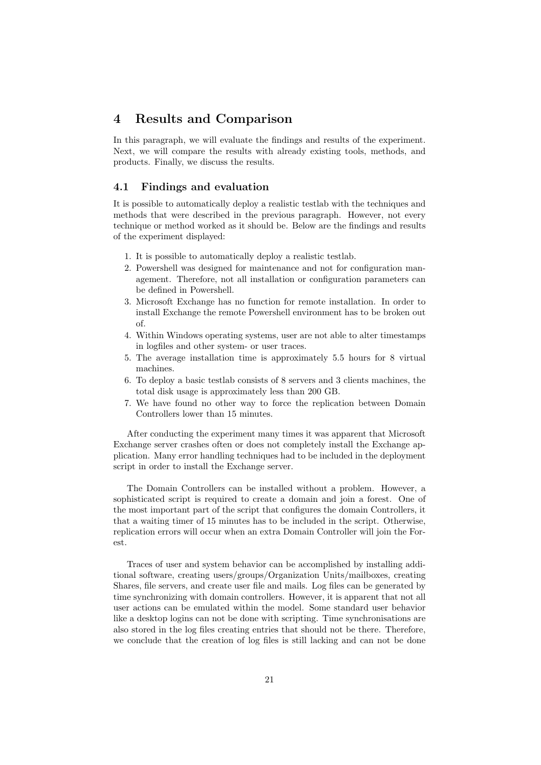# <span id="page-21-0"></span>4 Results and Comparison

In this paragraph, we will evaluate the findings and results of the experiment. Next, we will compare the results with already existing tools, methods, and products. Finally, we discuss the results.

## <span id="page-21-1"></span>4.1 Findings and evaluation

It is possible to automatically deploy a realistic testlab with the techniques and methods that were described in the previous paragraph. However, not every technique or method worked as it should be. Below are the findings and results of the experiment displayed:

- 1. It is possible to automatically deploy a realistic testlab.
- 2. Powershell was designed for maintenance and not for configuration management. Therefore, not all installation or configuration parameters can be defined in Powershell.
- 3. Microsoft Exchange has no function for remote installation. In order to install Exchange the remote Powershell environment has to be broken out of.
- 4. Within Windows operating systems, user are not able to alter timestamps in logfiles and other system- or user traces.
- 5. The average installation time is approximately 5.5 hours for 8 virtual machines.
- 6. To deploy a basic testlab consists of 8 servers and 3 clients machines, the total disk usage is approximately less than 200 GB.
- 7. We have found no other way to force the replication between Domain Controllers lower than 15 minutes.

After conducting the experiment many times it was apparent that Microsoft Exchange server crashes often or does not completely install the Exchange application. Many error handling techniques had to be included in the deployment script in order to install the Exchange server.

The Domain Controllers can be installed without a problem. However, a sophisticated script is required to create a domain and join a forest. One of the most important part of the script that configures the domain Controllers, it that a waiting timer of 15 minutes has to be included in the script. Otherwise, replication errors will occur when an extra Domain Controller will join the Forest.

Traces of user and system behavior can be accomplished by installing additional software, creating users/groups/Organization Units/mailboxes, creating Shares, file servers, and create user file and mails. Log files can be generated by time synchronizing with domain controllers. However, it is apparent that not all user actions can be emulated within the model. Some standard user behavior like a desktop logins can not be done with scripting. Time synchronisations are also stored in the log files creating entries that should not be there. Therefore, we conclude that the creation of log files is still lacking and can not be done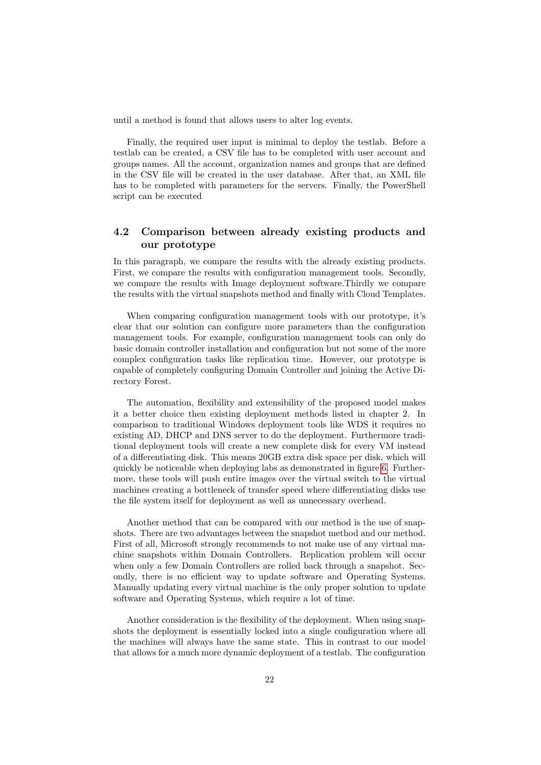until a method is found that allows users to alter log events.

Finally, the required user input is minimal to deploy the testlab. Before a testlab can be created, a CSV file has to be completed with user account and groups names. All the account, organization names and groups that are defined in the CSV file will be created in the user database. After that, an XML file has to be completed with parameters for the servers. Finally, the PowerShell script can be executed

## <span id="page-22-0"></span>4.2 Comparison between already existing products and our prototype

In this paragraph, we compare the results with the already existing products. First, we compare the results with configuration management tools. Secondly, we compare the results with Image deployment software.Thirdly we compare the results with the virtual snapshots method and finally with Cloud Templates.

When comparing configuration management tools with our prototype, it's clear that our solution can configure more parameters than the configuration management tools. For example, configuration management tools can only do basic domain controller installation and configuration but not some of the more complex configuration tasks like replication time. However, our prototype is capable of completely configuring Domain Controller and joining the Active Directory Forest.

The automation, flexibility and extensibility of the proposed model makes it a better choice then existing deployment methods listed in chapter 2. In comparison to traditional Windows deployment tools like WDS it requires no existing AD, DHCP and DNS server to do the deployment. Furthermore traditional deployment tools will create a new complete disk for every VM instead of a differentiating disk. This means 20GB extra disk space per disk, which will quickly be noticeable when deploying labs as demonstrated in figure [6.](#page-23-1) Furthermore, these tools will push entire images over the virtual switch to the virtual machines creating a bottleneck of transfer speed where differentiating disks use the file system itself for deployment as well as unnecessary overhead.

Another method that can be compared with our method is the use of snapshots. There are two advantages between the snapshot method and our method. First of all, Microsoft strongly recommends to not make use of any virtual machine snapshots within Domain Controllers. Replication problem will occur when only a few Domain Controllers are rolled back through a snapshot. Secondly, there is no efficient way to update software and Operating Systems. Manually updating every virtual machine is the only proper solution to update software and Operating Systems, which require a lot of time.

Another consideration is the flexibility of the deployment. When using snapshots the deployment is essentially locked into a single configuration where all the machines will always have the same state. This in contrast to our model that allows for a much more dynamic deployment of a testlab. The configuration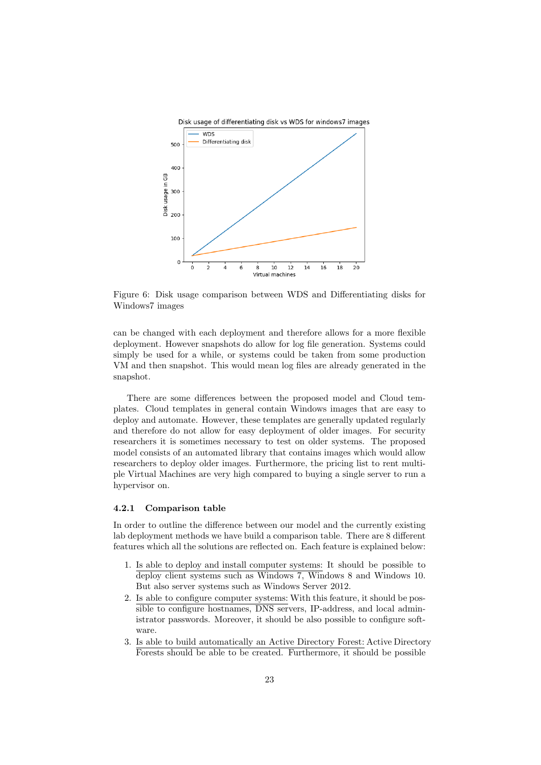

<span id="page-23-1"></span>Figure 6: Disk usage comparison between WDS and Differentiating disks for Windows7 images

can be changed with each deployment and therefore allows for a more flexible deployment. However snapshots do allow for log file generation. Systems could simply be used for a while, or systems could be taken from some production VM and then snapshot. This would mean log files are already generated in the snapshot.

There are some differences between the proposed model and Cloud templates. Cloud templates in general contain Windows images that are easy to deploy and automate. However, these templates are generally updated regularly and therefore do not allow for easy deployment of older images. For security researchers it is sometimes necessary to test on older systems. The proposed model consists of an automated library that contains images which would allow researchers to deploy older images. Furthermore, the pricing list to rent multiple Virtual Machines are very high compared to buying a single server to run a hypervisor on.

#### <span id="page-23-0"></span>4.2.1 Comparison table

In order to outline the difference between our model and the currently existing lab deployment methods we have build a comparison table. There are 8 different features which all the solutions are reflected on. Each feature is explained below:

- 1. Is able to deploy and install computer systems: It should be possible to deploy client systems such as Windows 7, Windows 8 and Windows 10. But also server systems such as Windows Server 2012.
- 2. Is able to configure computer systems: With this feature, it should be possible to configure hostnames, DNS servers, IP-address, and local administrator passwords. Moreover, it should be also possible to configure software.
- 3. Is able to build automatically an Active Directory Forest: Active Directory Forests should be able to be created. Furthermore, it should be possible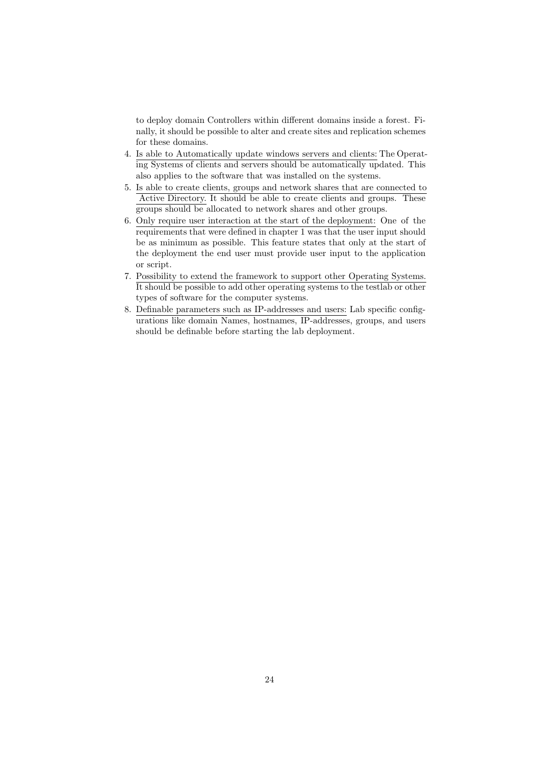to deploy domain Controllers within different domains inside a forest. Finally, it should be possible to alter and create sites and replication schemes for these domains.

- 4. Is able to Automatically update windows servers and clients: The Operating Systems of clients and servers should be automatically updated. This also applies to the software that was installed on the systems.
- 5. Is able to create clients, groups and network shares that are connected to Active Directory. It should be able to create clients and groups. These groups should be allocated to network shares and other groups.
- 6. Only require user interaction at the start of the deployment: One of the requirements that were defined in chapter 1 was that the user input should be as minimum as possible. This feature states that only at the start of the deployment the end user must provide user input to the application or script.
- 7. Possibility to extend the framework to support other Operating Systems. It should be possible to add other operating systems to the testlab or other types of software for the computer systems.
- 8. Definable parameters such as IP-addresses and users: Lab specific configurations like domain Names, hostnames, IP-addresses, groups, and users should be definable before starting the lab deployment.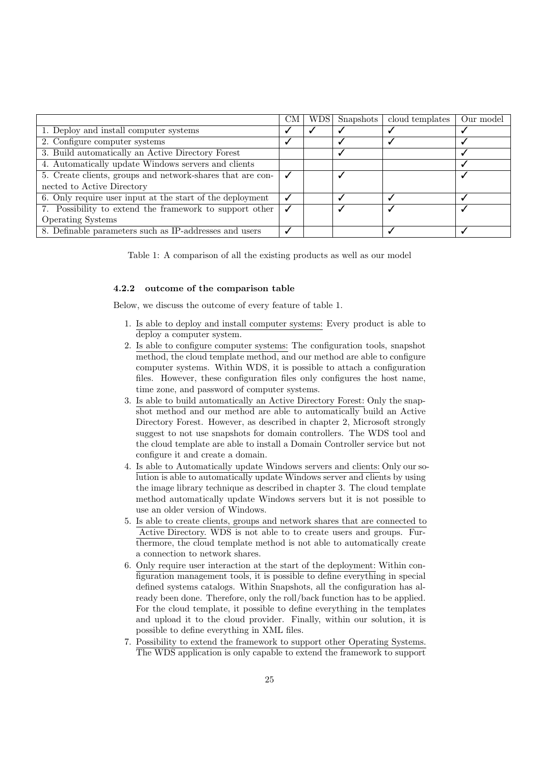|                                                            | CM | WDS | Snapshots | cloud templates | Our model |
|------------------------------------------------------------|----|-----|-----------|-----------------|-----------|
| 1. Deploy and install computer systems                     |    |     |           |                 |           |
| 2. Configure computer systems                              |    |     |           |                 |           |
| 3. Build automatically an Active Directory Forest          |    |     |           |                 |           |
| 4. Automatically update Windows servers and clients        |    |     |           |                 |           |
| 5. Create clients, groups and network-shares that are con- |    |     |           |                 |           |
| nected to Active Directory                                 |    |     |           |                 |           |
| 6. Only require user input at the start of the deployment  |    |     |           |                 |           |
| 7. Possibility to extend the framework to support other    |    |     |           |                 |           |
| <b>Operating Systems</b>                                   |    |     |           |                 |           |
| 8. Definable parameters such as IP-addresses and users     |    |     |           |                 |           |

Table 1: A comparison of all the existing products as well as our model

#### <span id="page-25-0"></span>4.2.2 outcome of the comparison table

Below, we discuss the outcome of every feature of table 1.

- 1. Is able to deploy and install computer systems: Every product is able to deploy a computer system.
- 2. Is able to configure computer systems: The configuration tools, snapshot method, the cloud template method, and our method are able to configure computer systems. Within WDS, it is possible to attach a configuration files. However, these configuration files only configures the host name, time zone, and password of computer systems.
- 3. Is able to build automatically an Active Directory Forest: Only the snapshot method and our method are able to automatically build an Active Directory Forest. However, as described in chapter 2, Microsoft strongly suggest to not use snapshots for domain controllers. The WDS tool and the cloud template are able to install a Domain Controller service but not configure it and create a domain.
- 4. Is able to Automatically update Windows servers and clients: Only our solution is able to automatically update Windows server and clients by using the image library technique as described in chapter 3. The cloud template method automatically update Windows servers but it is not possible to use an older version of Windows.
- 5. Is able to create clients, groups and network shares that are connected to Active Directory. WDS is not able to to create users and groups. Furthermore, the cloud template method is not able to automatically create a connection to network shares.
- 6. Only require user interaction at the start of the deployment: Within configuration management tools, it is possible to define everything in special defined systems catalogs. Within Snapshots, all the configuration has already been done. Therefore, only the roll/back function has to be applied. For the cloud template, it possible to define everything in the templates and upload it to the cloud provider. Finally, within our solution, it is possible to define everything in XML files.
- 7. Possibility to extend the framework to support other Operating Systems. The WDS application is only capable to extend the framework to support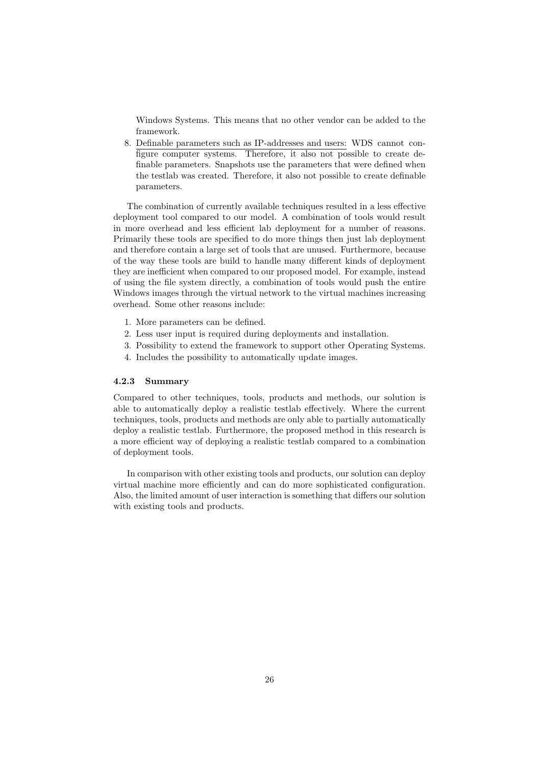Windows Systems. This means that no other vendor can be added to the framework.

8. Definable parameters such as IP-addresses and users: WDS cannot configure computer systems. Therefore, it also not possible to create definable parameters. Snapshots use the parameters that were defined when the testlab was created. Therefore, it also not possible to create definable parameters.

The combination of currently available techniques resulted in a less effective deployment tool compared to our model. A combination of tools would result in more overhead and less efficient lab deployment for a number of reasons. Primarily these tools are specified to do more things then just lab deployment and therefore contain a large set of tools that are unused. Furthermore, because of the way these tools are build to handle many different kinds of deployment they are inefficient when compared to our proposed model. For example, instead of using the file system directly, a combination of tools would push the entire Windows images through the virtual network to the virtual machines increasing overhead. Some other reasons include:

- 1. More parameters can be defined.
- 2. Less user input is required during deployments and installation.
- 3. Possibility to extend the framework to support other Operating Systems.
- 4. Includes the possibility to automatically update images.

#### <span id="page-26-0"></span>4.2.3 Summary

Compared to other techniques, tools, products and methods, our solution is able to automatically deploy a realistic testlab effectively. Where the current techniques, tools, products and methods are only able to partially automatically deploy a realistic testlab. Furthermore, the proposed method in this research is a more efficient way of deploying a realistic testlab compared to a combination of deployment tools.

In comparison with other existing tools and products, our solution can deploy virtual machine more efficiently and can do more sophisticated configuration. Also, the limited amount of user interaction is something that differs our solution with existing tools and products.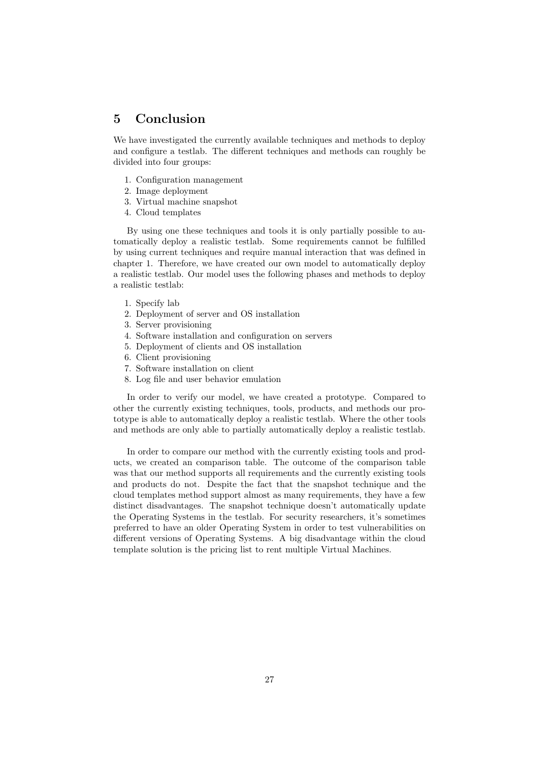# <span id="page-27-0"></span>5 Conclusion

We have investigated the currently available techniques and methods to deploy and configure a testlab. The different techniques and methods can roughly be divided into four groups:

- 1. Configuration management
- 2. Image deployment
- 3. Virtual machine snapshot
- 4. Cloud templates

By using one these techniques and tools it is only partially possible to automatically deploy a realistic testlab. Some requirements cannot be fulfilled by using current techniques and require manual interaction that was defined in chapter 1. Therefore, we have created our own model to automatically deploy a realistic testlab. Our model uses the following phases and methods to deploy a realistic testlab:

- 1. Specify lab
- 2. Deployment of server and OS installation
- 3. Server provisioning
- 4. Software installation and configuration on servers
- 5. Deployment of clients and OS installation
- 6. Client provisioning
- 7. Software installation on client
- 8. Log file and user behavior emulation

In order to verify our model, we have created a prototype. Compared to other the currently existing techniques, tools, products, and methods our prototype is able to automatically deploy a realistic testlab. Where the other tools and methods are only able to partially automatically deploy a realistic testlab.

In order to compare our method with the currently existing tools and products, we created an comparison table. The outcome of the comparison table was that our method supports all requirements and the currently existing tools and products do not. Despite the fact that the snapshot technique and the cloud templates method support almost as many requirements, they have a few distinct disadvantages. The snapshot technique doesn't automatically update the Operating Systems in the testlab. For security researchers, it's sometimes preferred to have an older Operating System in order to test vulnerabilities on different versions of Operating Systems. A big disadvantage within the cloud template solution is the pricing list to rent multiple Virtual Machines.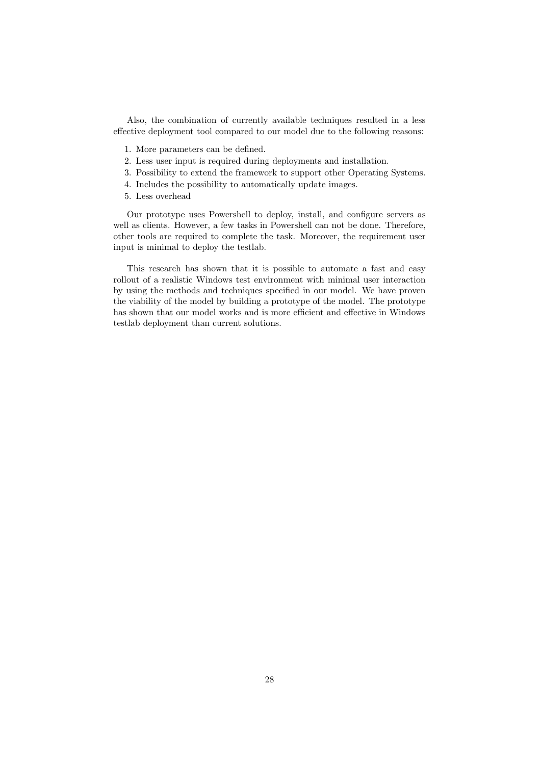Also, the combination of currently available techniques resulted in a less effective deployment tool compared to our model due to the following reasons:

- 1. More parameters can be defined.
- 2. Less user input is required during deployments and installation.
- 3. Possibility to extend the framework to support other Operating Systems.
- 4. Includes the possibility to automatically update images.
- 5. Less overhead

Our prototype uses Powershell to deploy, install, and configure servers as well as clients. However, a few tasks in Powershell can not be done. Therefore, other tools are required to complete the task. Moreover, the requirement user input is minimal to deploy the testlab.

This research has shown that it is possible to automate a fast and easy rollout of a realistic Windows test environment with minimal user interaction by using the methods and techniques specified in our model. We have proven the viability of the model by building a prototype of the model. The prototype has shown that our model works and is more efficient and effective in Windows testlab deployment than current solutions.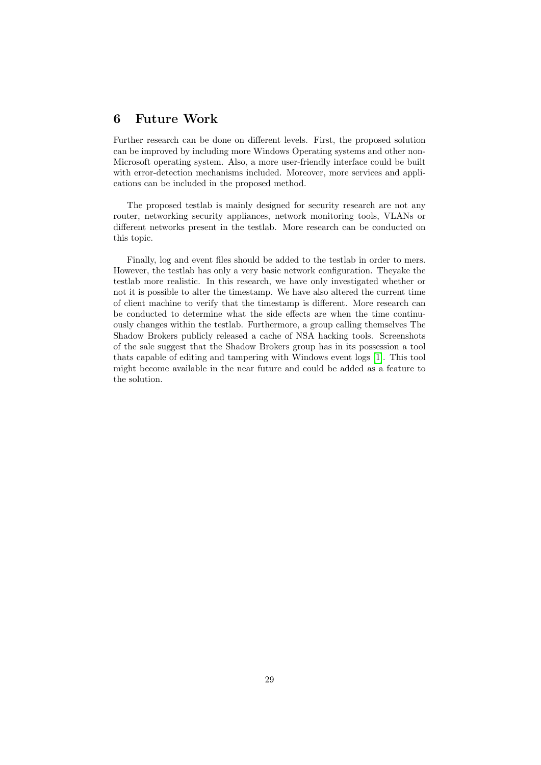# <span id="page-29-0"></span>6 Future Work

Further research can be done on different levels. First, the proposed solution can be improved by including more Windows Operating systems and other non-Microsoft operating system. Also, a more user-friendly interface could be built with error-detection mechanisms included. Moreover, more services and applications can be included in the proposed method.

The proposed testlab is mainly designed for security research are not any router, networking security appliances, network monitoring tools, VLANs or different networks present in the testlab. More research can be conducted on this topic.

Finally, log and event files should be added to the testlab in order to mers. However, the testlab has only a very basic network configuration. Theyake the testlab more realistic. In this research, we have only investigated whether or not it is possible to alter the timestamp. We have also altered the current time of client machine to verify that the timestamp is different. More research can be conducted to determine what the side effects are when the time continuously changes within the testlab. Furthermore, a group calling themselves The Shadow Brokers publicly released a cache of NSA hacking tools. Screenshots of the sale suggest that the Shadow Brokers group has in its possession a tool thats capable of editing and tampering with Windows event logs [\[1\]](#page-30-11). This tool might become available in the near future and could be added as a feature to the solution.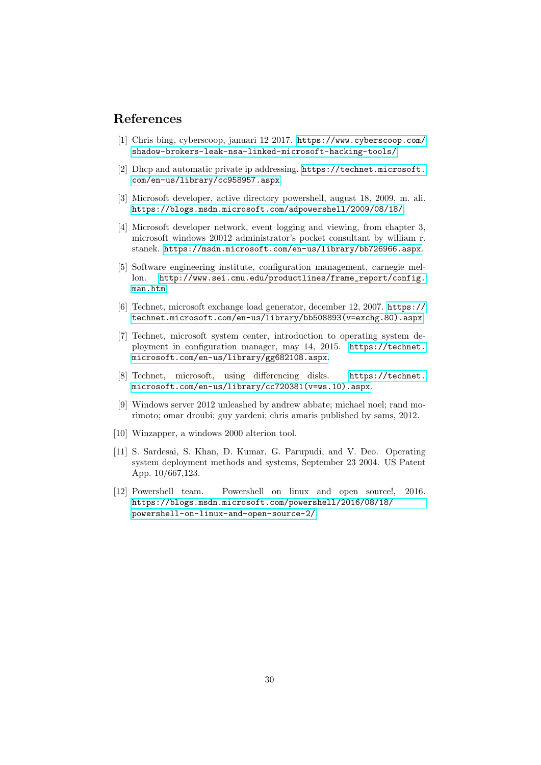# References

- <span id="page-30-11"></span>[1] Chris bing, cyberscoop, januari 12 2017. [https://www.cyberscoop.com/](https://www.cyberscoop.com/shadow-brokers-leak-nsa-linked-microsoft-hacking-tools/) [shadow-brokers-leak-nsa-linked-microsoft-hacking-tools/](https://www.cyberscoop.com/shadow-brokers-leak-nsa-linked-microsoft-hacking-tools/).
- <span id="page-30-5"></span>[2] Dhcp and automatic private ip addressing. [https://technet.microsoft.](https://technet.microsoft.com/en-us/library/cc958957.aspx) [com/en-us/library/cc958957.aspx](https://technet.microsoft.com/en-us/library/cc958957.aspx).
- <span id="page-30-10"></span>[3] Microsoft developer, active directory powershell, august 18, 2009, m. ali. <https://blogs.msdn.microsoft.com/adpowershell/2009/08/18/>.
- <span id="page-30-6"></span>[4] Microsoft developer network, event logging and viewing, from chapter 3, microsoft windows 20012 administrator's pocket consultant by william r. stanek. <https://msdn.microsoft.com/en-us/library/bb726966.aspx>.
- <span id="page-30-1"></span>[5] Software engineering institute, configuration management, carnegie mellon. [http://www.sei.cmu.edu/productlines/frame\\_report/config.](http://www.sei.cmu.edu/productlines/frame_report/config.man.htm) [man.htm](http://www.sei.cmu.edu/productlines/frame_report/config.man.htm).
- <span id="page-30-4"></span>[6] Technet, microsoft exchange load generator, december 12, 2007. [https://](https://technet.microsoft.com/en-us/library/bb508893(v=exchg.80).aspx) [technet.microsoft.com/en-us/library/bb508893\(v=exchg.80\).aspx](https://technet.microsoft.com/en-us/library/bb508893(v=exchg.80).aspx).
- <span id="page-30-2"></span>[7] Technet, microsoft system center, introduction to operating system deployment in configuration manager, may 14, 2015. [https://technet.](https://technet.microsoft.com/en-us/library/gg682108.aspx) [microsoft.com/en-us/library/gg682108.aspx](https://technet.microsoft.com/en-us/library/gg682108.aspx).
- <span id="page-30-7"></span>[8] Technet, microsoft, using differencing disks. [https://technet.](https://technet.microsoft.com/en-us/library/cc720381(v=ws.10).aspx) [microsoft.com/en-us/library/cc720381\(v=ws.10\).aspx](https://technet.microsoft.com/en-us/library/cc720381(v=ws.10).aspx).
- <span id="page-30-3"></span>[9] Windows server 2012 unleashed by andrew abbate; michael noel; rand morimoto; omar droubi; guy yardeni; chris amaris published by sams, 2012.
- <span id="page-30-8"></span>[10] Winzapper, a windows 2000 alterion tool.
- <span id="page-30-0"></span>[11] S. Sardesai, S. Khan, D. Kumar, G. Parupudi, and V. Deo. Operating system deployment methods and systems, September 23 2004. US Patent App. 10/667,123.
- <span id="page-30-9"></span>[12] Powershell team. Powershell on linux and open source!, 2016. [https://blogs.msdn.microsoft.com/powershell/2016/08/18/](https://blogs.msdn.microsoft.com/powershell/2016/08/18/powershell-on-linux-and-open-source-2/) [powershell-on-linux-and-open-source-2/](https://blogs.msdn.microsoft.com/powershell/2016/08/18/powershell-on-linux-and-open-source-2/).